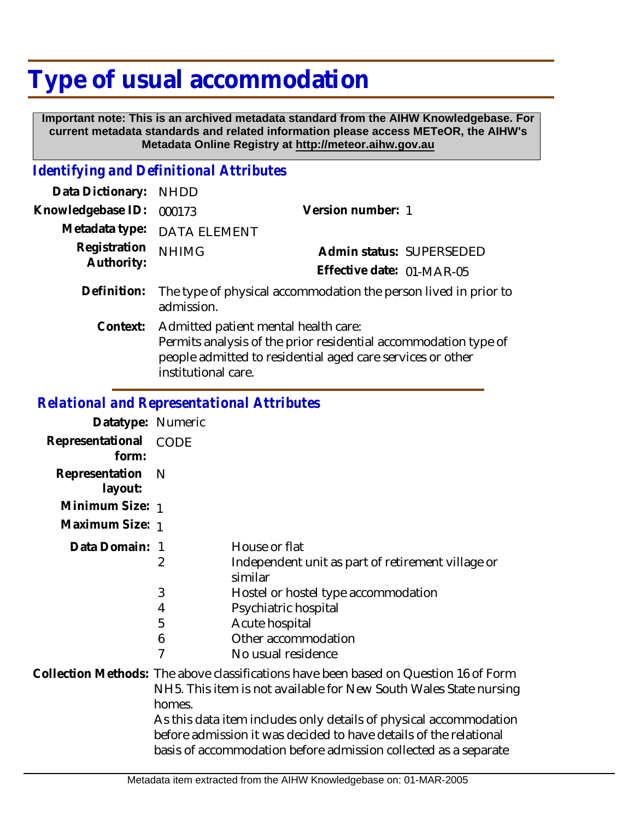## **Type of usual accommodation**

 **Important note: This is an archived metadata standard from the AIHW Knowledgebase. For current metadata standards and related information please access METeOR, the AIHW's Metadata Online Registry at http://meteor.aihw.gov.au**

## *Identifying and Definitional Attributes*

| Data Dictionary:           | <b>NHDD</b>                                                                                                                                                                                  |                           |                          |
|----------------------------|----------------------------------------------------------------------------------------------------------------------------------------------------------------------------------------------|---------------------------|--------------------------|
| Knowledgebase ID:          | 000173                                                                                                                                                                                       | Version number: 1         |                          |
| Metadata type:             | <b>DATA ELEMENT</b>                                                                                                                                                                          |                           |                          |
| Registration<br>Authority: | <b>NHIMG</b>                                                                                                                                                                                 |                           | Admin status: SUPERSEDED |
|                            |                                                                                                                                                                                              | Effective date: 01-MAR-05 |                          |
| Definition:                | The type of physical accommodation the person lived in prior to<br>admission.                                                                                                                |                           |                          |
| Context:                   | Admitted patient mental health care:<br>Permits analysis of the prior residential accommodation type of<br>people admitted to residential aged care services or other<br>institutional care. |                           |                          |

## *Relational and Representational Attributes*

| Datatype: Numeric         |              |                                                                                                                                                                                                                                                                                                                                                                        |
|---------------------------|--------------|------------------------------------------------------------------------------------------------------------------------------------------------------------------------------------------------------------------------------------------------------------------------------------------------------------------------------------------------------------------------|
| Representational<br>form: | <b>CODE</b>  |                                                                                                                                                                                                                                                                                                                                                                        |
| Representation<br>layout: | $\mathsf{N}$ |                                                                                                                                                                                                                                                                                                                                                                        |
| Minimum Size: 1           |              |                                                                                                                                                                                                                                                                                                                                                                        |
| Maximum Size: 1           |              |                                                                                                                                                                                                                                                                                                                                                                        |
| Data Domain:              |              | House or flat                                                                                                                                                                                                                                                                                                                                                          |
|                           | 2            | Independent unit as part of retirement village or<br>similar                                                                                                                                                                                                                                                                                                           |
|                           | 3            | Hostel or hostel type accommodation                                                                                                                                                                                                                                                                                                                                    |
|                           | 4            | Psychiatric hospital                                                                                                                                                                                                                                                                                                                                                   |
|                           | 5            | Acute hospital                                                                                                                                                                                                                                                                                                                                                         |
|                           | 6            | Other accommodation                                                                                                                                                                                                                                                                                                                                                    |
|                           | 7            | No usual residence                                                                                                                                                                                                                                                                                                                                                     |
|                           | homes.       | Collection Methods: The above classifications have been based on Question 16 of Form<br>NH5. This item is not available for New South Wales State nursing<br>As this data item includes only details of physical accommodation<br>before admission it was decided to have details of the relational<br>basis of accommodation before admission collected as a separate |